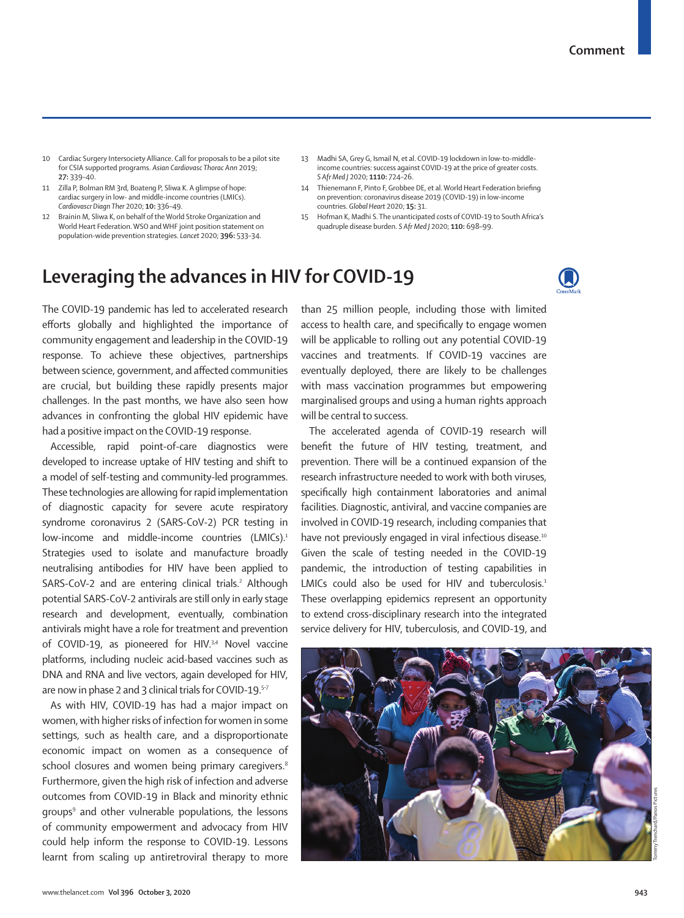- 10 Cardiac Surgery Intersociety Alliance. Call for proposals to be a pilot site for CSIA supported programs. *Asian Cardiovasc Thorac Ann* 2019; **27:** 339–40.
- 11 Zilla P, Bolman RM 3rd, Boateng P, Sliwa K. A glimpse of hope: cardiac surgery in low- and middle-income countries (LMICs). *Cardiovascr Diagn Ther* 2020; **10:** 336–49.
- 12 Brainin M, Sliwa K, on behalf of the World Stroke Organization and World Heart Federation. WSO and WHF joint position statement on population-wide prevention strategies. *Lancet* 2020; **396:** 533–34.
- 13 Madhi SA, Grey G, Ismail N, et al. COVID-19 lockdown in low-to-middleincome countries: success against COVID-19 at the price of greater costs. *S Afr Med J* 2020; **1110:** 724–26.
- 14 Thienemann F, Pinto F, Grobbee DE, et al. World Heart Federation briefing on prevention: coronavirus disease 2019 (COVID-19) in low-income countries. *Global Heart* 2020; **15:** 31.
- 15 Hofman K, Madhi S. The unanticipated costs of COVID-19 to South Africa's quadruple disease burden. *S Afr Med J* 2020; **110:** 698–99.

## **Leveraging the advances in HIV for COVID-19**

The COVID-19 pandemic has led to accelerated research efforts globally and highlighted the importance of community engagement and leadership in the COVID-19 response. To achieve these objectives, partnerships between science, government, and affected communities are crucial, but building these rapidly presents major challenges. In the past months, we have also seen how advances in confronting the global HIV epidemic have had a positive impact on the COVID-19 response.

Accessible, rapid point-of-care diagnostics were developed to increase uptake of HIV testing and shift to a model of self-testing and community-led programmes. These technologies are allowing for rapid implementation of diagnostic capacity for severe acute respiratory syndrome coronavirus 2 (SARS-CoV-2) PCR testing in low-income and middle-income countries (LMICs).<sup>1</sup> Strategies used to isolate and manufacture broadly neutralising antibodies for HIV have been applied to SARS-CoV-2 and are entering clinical trials.<sup>2</sup> Although potential SARS-CoV-2 antivirals are still only in early stage research and development, eventually, combination antivirals might have a role for treatment and prevention of COVID-19, as pioneered for HIV.<sup>3,4</sup> Novel vaccine platforms, including nucleic acid-based vaccines such as DNA and RNA and live vectors, again developed for HIV, are now in phase 2 and 3 clinical trials for COVID-19.<sup>5-7</sup>

As with HIV, COVID-19 has had a major impact on women, with higher risks of infection for women in some settings, such as health care, and a disproportionate economic impact on women as a consequence of school closures and women being primary caregivers.<sup>8</sup> Furthermore, given the high risk of infection and adverse outcomes from COVID-19 in Black and minority ethnic groups<sup>9</sup> and other vulnerable populations, the lessons of community empowerment and advocacy from HIV could help inform the response to COVID-19. Lessons learnt from scaling up antiretroviral therapy to more than 25 million people, including those with limited access to health care, and specifically to engage women will be applicable to rolling out any potential COVID-19 vaccines and treatments. If COVID-19 vaccines are eventually deployed, there are likely to be challenges with mass vaccination programmes but empowering marginalised groups and using a human rights approach will be central to success.

The accelerated agenda of COVID-19 research will benefit the future of HIV testing, treatment, and prevention. There will be a continued expansion of the research infrastructure needed to work with both viruses, specifically high containment laboratories and animal facilities. Diagnostic, antiviral, and vaccine companies are involved in COVID-19 research, including companies that have not previously engaged in viral infectious disease.<sup>10</sup> Given the scale of testing needed in the COVID-19 pandemic, the introduction of testing capabilities in LMICs could also be used for HIV and tuberculosis.<sup>1</sup> These overlapping epidemics represent an opportunity to extend cross-disciplinary research into the integrated service delivery for HIV, tuberculosis, and COVID-19, and